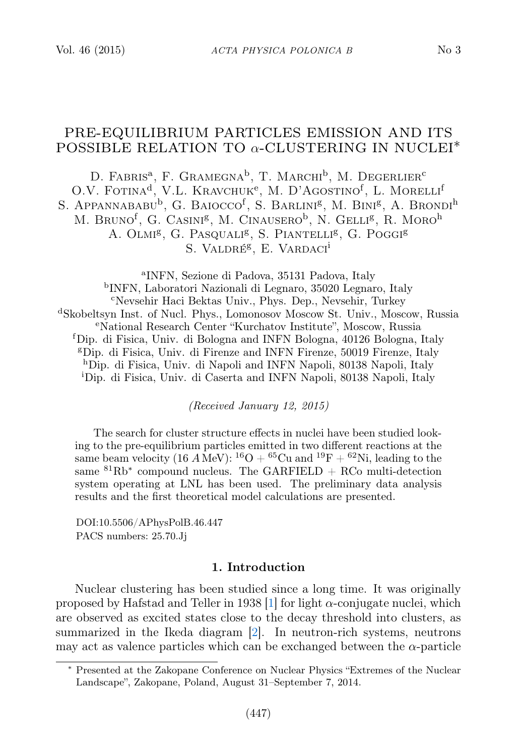# PRE-EQUILIBRIUM PARTICLES EMISSION AND ITS POSSIBLE RELATION TO  $\alpha$ -CLUSTERING IN NUCLEI<sup>\*</sup>

D. FABRIS<sup>a</sup>, F. GRAMEGNA<sup>b</sup>, T. MARCHI<sup>b</sup>, M. DEGERLIER<sup>c</sup> O.V. FOTINA<sup>d</sup>, V.L. KRAVCHUK<sup>e</sup>, M. D'AGOSTINO<sup>f</sup>, L. MORELLI<sup>f</sup> S. Appannababu<sup>b</sup>, G. Baiocco<sup>f</sup>, S. Barlini<sup>g</sup>, M. Bini<sup>g</sup>, A. Brondi<sup>h</sup> M. BRUNO<sup>f</sup>, G. Casini<sup>g</sup>, M. Cinausero<sup>b</sup>, N. Gelli<sup>g</sup>, R. Moro<sup>h</sup> A. OLMI<sup>g</sup>, G. PASQUALI<sup>g</sup>, S. PIANTELLI<sup>g</sup>, G. POGGI<sup>g</sup> S. VALDRÉ<sup>g</sup>, E. VARDACI<sup>i</sup>

a INFN, Sezione di Padova, 35131 Padova, Italy b INFN, Laboratori Nazionali di Legnaro, 35020 Legnaro, Italy <sup>c</sup>Nevsehir Haci Bektas Univ., Phys. Dep., Nevsehir, Turkey <sup>d</sup>Skobeltsyn Inst. of Nucl. Phys., Lomonosov Moscow St. Univ., Moscow, Russia <sup>e</sup>National Research Center "Kurchatov Institute", Moscow, Russia <sup>f</sup>Dip. di Fisica, Univ. di Bologna and INFN Bologna, 40126 Bologna, Italy <sup>g</sup>Dip. di Fisica, Univ. di Firenze and INFN Firenze, 50019 Firenze, Italy <sup>h</sup>Dip. di Fisica, Univ. di Napoli and INFN Napoli, 80138 Napoli, Italy <sup>i</sup>Dip. di Fisica, Univ. di Caserta and INFN Napoli, 80138 Napoli, Italy

(Received January 12, 2015)

The search for cluster structure effects in nuclei have been studied looking to the pre-equilibrium particles emitted in two different reactions at the same beam velocity (16 A MeV):  ${}^{16}O + {}^{65}Cu$  and  ${}^{19}F + {}^{62}Ni$ , leading to the same  ${}^{81}Rb^*$  compound nucleus. The GARFIELD + RCo multi-detection system operating at LNL has been used. The preliminary data analysis results and the first theoretical model calculations are presented.

DOI:10.5506/APhysPolB.46.447 PACS numbers: 25.70.Jj

## 1. Introduction

Nuclear clustering has been studied since a long time. It was originally proposed by Hafstad and Teller in 1938 [\[1\]](#page-3-0) for light  $\alpha$ -conjugate nuclei, which are observed as excited states close to the decay threshold into clusters, as summarized in the Ikeda diagram [\[2\]](#page-3-1). In neutron-rich systems, neutrons may act as valence particles which can be exchanged between the  $\alpha$ -particle

<sup>∗</sup> Presented at the Zakopane Conference on Nuclear Physics "Extremes of the Nuclear Landscape", Zakopane, Poland, August 31–September 7, 2014.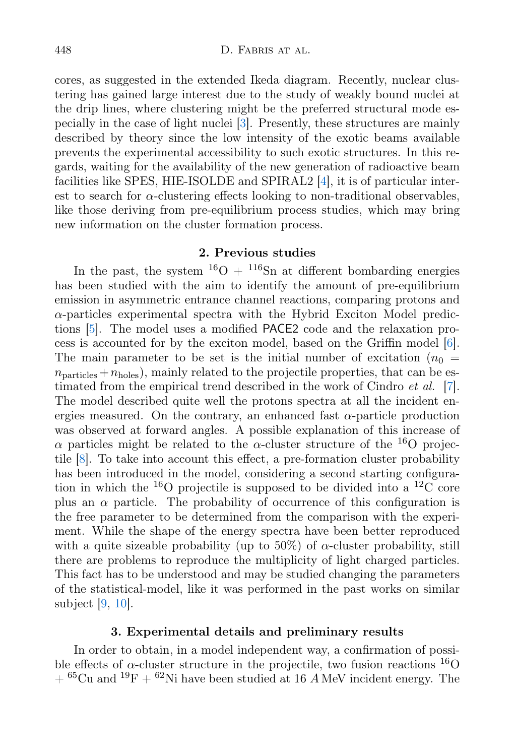cores, as suggested in the extended Ikeda diagram. Recently, nuclear clustering has gained large interest due to the study of weakly bound nuclei at the drip lines, where clustering might be the preferred structural mode especially in the case of light nuclei [\[3\]](#page-3-2). Presently, these structures are mainly described by theory since the low intensity of the exotic beams available prevents the experimental accessibility to such exotic structures. In this regards, waiting for the availability of the new generation of radioactive beam facilities like SPES, HIE-ISOLDE and SPIRAL2 [\[4\]](#page-4-0), it is of particular interest to search for  $\alpha$ -clustering effects looking to non-traditional observables, like those deriving from pre-equilibrium process studies, which may bring new information on the cluster formation process.

# 2. Previous studies

In the past, the system  $^{16}O + ^{116}Sn$  at different bombarding energies has been studied with the aim to identify the amount of pre-equilibrium emission in asymmetric entrance channel reactions, comparing protons and  $\alpha$ -particles experimental spectra with the Hybrid Exciton Model predictions [\[5\]](#page-4-1). The model uses a modified PACE2 code and the relaxation process is accounted for by the exciton model, based on the Griffin model [\[6\]](#page-4-2). The main parameter to be set is the initial number of excitation  $(n_0 =$  $n_{\text{particles}} + n_{\text{holes}}$ , mainly related to the projectile properties, that can be estimated from the empirical trend described in the work of Cindro *et al.* [\[7\]](#page-4-3). The model described quite well the protons spectra at all the incident energies measured. On the contrary, an enhanced fast  $\alpha$ -particle production was observed at forward angles. A possible explanation of this increase of  $\alpha$  particles might be related to the  $\alpha$ -cluster structure of the <sup>16</sup>O projectile [\[8\]](#page-4-4). To take into account this effect, a pre-formation cluster probability has been introduced in the model, considering a second starting configuration in which the  $^{16}$ O projectile is supposed to be divided into a  $^{12}$ C core plus an  $\alpha$  particle. The probability of occurrence of this configuration is the free parameter to be determined from the comparison with the experiment. While the shape of the energy spectra have been better reproduced with a quite sizeable probability (up to 50%) of  $\alpha$ -cluster probability, still there are problems to reproduce the multiplicity of light charged particles. This fact has to be understood and may be studied changing the parameters of the statistical-model, like it was performed in the past works on similar subject [\[9,](#page-4-5) [10\]](#page-4-6).

#### 3. Experimental details and preliminary results

In order to obtain, in a model independent way, a confirmation of possible effects of  $\alpha$ -cluster structure in the projectile, two fusion reactions  $^{16}O$  $+$  <sup>65</sup>Cu and <sup>19</sup>F  $+$  <sup>62</sup>Ni have been studied at 16 A MeV incident energy. The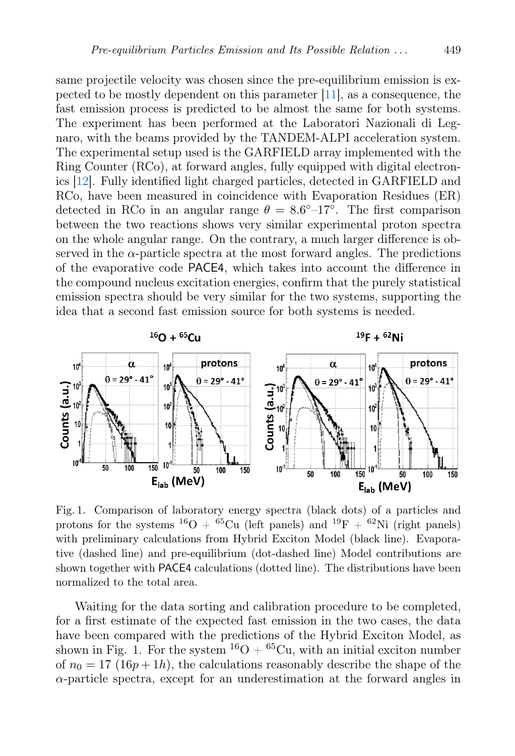same projectile velocity was chosen since the pre-equilibrium emission is expected to be mostly dependent on this parameter [\[11\]](#page-4-7), as a consequence, the fast emission process is predicted to be almost the same for both systems. The experiment has been performed at the Laboratori Nazionali di Legnaro, with the beams provided by the TANDEM-ALPI acceleration system. The experimental setup used is the GARFIELD array implemented with the Ring Counter (RCo), at forward angles, fully equipped with digital electronics [\[12\]](#page-4-8). Fully identified light charged particles, detected in GARFIELD and RCo, have been measured in coincidence with Evaporation Residues (ER) detected in RCo in an angular range  $\theta = 8.6^{\circ} - 17^{\circ}$ . The first comparison between the two reactions shows very similar experimental proton spectra on the whole angular range. On the contrary, a much larger difference is observed in the  $\alpha$ -particle spectra at the most forward angles. The predictions of the evaporative code PACE4, which takes into account the difference in the compound nucleus excitation energies, confirm that the purely statistical emission spectra should be very similar for the two systems, supporting the idea that a second fast emission source for both systems is needed.



Fig. 1. Comparison of laboratory energy spectra (black dots) of a particles and protons for the systems <sup>16</sup>O + <sup>65</sup>Cu (left panels) and <sup>19</sup>F + <sup>62</sup>Ni (right panels) with preliminary calculations from Hybrid Exciton Model (black line). Evaporative (dashed line) and pre-equilibrium (dot-dashed line) Model contributions are shown together with PACE4 calculations (dotted line). The distributions have been normalized to the total area.

Waiting for the data sorting and calibration procedure to be completed, for a first estimate of the expected fast emission in the two cases, the data have been compared with the predictions of the Hybrid Exciton Model, as shown in Fig. 1. For the system  ${}^{16}O + {}^{65}Cu$ , with an initial exciton number of  $n_0 = 17$  (16p + 1h), the calculations reasonably describe the shape of the  $\alpha$ -particle spectra, except for an underestimation at the forward angles in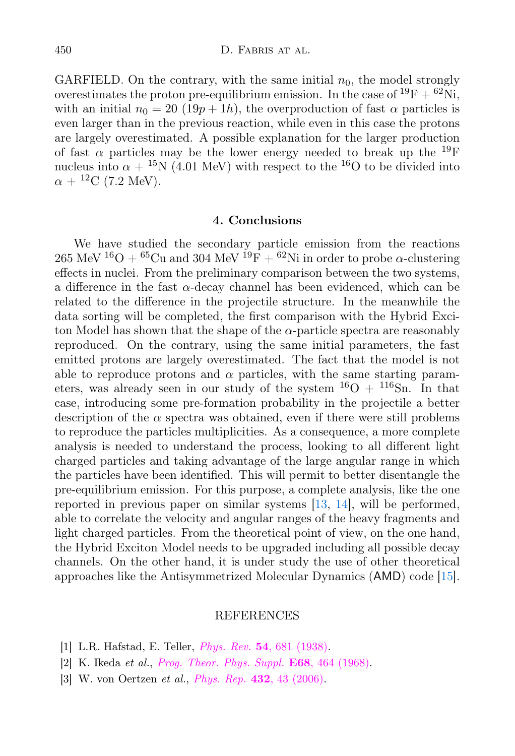GARFIELD. On the contrary, with the same initial  $n_0$ , the model strongly overestimates the proton pre-equilibrium emission. In the case of  ${}^{19}F + {}^{62}Ni$ , with an initial  $n_0 = 20$  (19p + 1h), the overproduction of fast  $\alpha$  particles is even larger than in the previous reaction, while even in this case the protons are largely overestimated. A possible explanation for the larger production of fast  $\alpha$  particles may be the lower energy needed to break up the <sup>19</sup>F nucleus into  $\alpha + {}^{15}N$  (4.01 MeV) with respect to the  ${}^{16}O$  to be divided into  $\alpha + {}^{12}C$  (7.2 MeV).

## 4. Conclusions

We have studied the secondary particle emission from the reactions 265 MeV <sup>16</sup>O + <sup>65</sup>Cu and 304 MeV <sup>19</sup>F + <sup>62</sup>Ni in order to probe  $\alpha$ -clustering effects in nuclei. From the preliminary comparison between the two systems, a difference in the fast  $\alpha$ -decay channel has been evidenced, which can be related to the difference in the projectile structure. In the meanwhile the data sorting will be completed, the first comparison with the Hybrid Exciton Model has shown that the shape of the  $\alpha$ -particle spectra are reasonably reproduced. On the contrary, using the same initial parameters, the fast emitted protons are largely overestimated. The fact that the model is not able to reproduce protons and  $\alpha$  particles, with the same starting parameters, was already seen in our study of the system  $^{16}O + ^{116}Sn$ . In that case, introducing some pre-formation probability in the projectile a better description of the  $\alpha$  spectra was obtained, even if there were still problems to reproduce the particles multiplicities. As a consequence, a more complete analysis is needed to understand the process, looking to all different light charged particles and taking advantage of the large angular range in which the particles have been identified. This will permit to better disentangle the pre-equilibrium emission. For this purpose, a complete analysis, like the one reported in previous paper on similar systems [\[13,](#page-4-9) [14\]](#page-4-10), will be performed, able to correlate the velocity and angular ranges of the heavy fragments and light charged particles. From the theoretical point of view, on the one hand, the Hybrid Exciton Model needs to be upgraded including all possible decay channels. On the other hand, it is under study the use of other theoretical approaches like the Antisymmetrized Molecular Dynamics (AMD) code [\[15\]](#page-4-11).

## REFERENCES

- <span id="page-3-0"></span>[1] L.R. Hafstad, E. Teller, Phys. Rev. 54[, 681 \(1938\).](http://dx.doi.org/10.1103/PhysRev.54.681)
- <span id="page-3-1"></span>[2] K. Ikeda et al., [Prog. Theor. Phys. Suppl.](http://dx.doi.org/10.1143/PTPS.E68.464 ) E68, 464 (1968).
- <span id="page-3-2"></span>[3] W. von Oertzen et al., Phys. Rep. 432[, 43 \(2006\).](http://dx.doi.org/10.1016/j.physrep.2006.07.001)